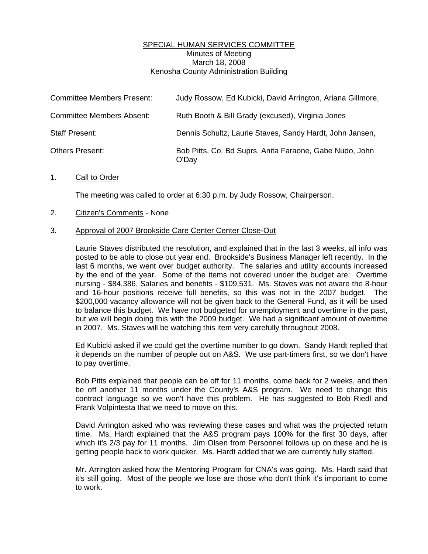## SPECIAL HUMAN SERVICES COMMITTEE Minutes of Meeting March 18, 2008 Kenosha County Administration Building

| <b>Committee Members Present:</b> | Judy Rossow, Ed Kubicki, David Arrington, Ariana Gillmore,       |
|-----------------------------------|------------------------------------------------------------------|
| <b>Committee Members Absent:</b>  | Ruth Booth & Bill Grady (excused), Virginia Jones                |
| <b>Staff Present:</b>             | Dennis Schultz, Laurie Staves, Sandy Hardt, John Jansen,         |
| <b>Others Present:</b>            | Bob Pitts, Co. Bd Suprs. Anita Faraone, Gabe Nudo, John<br>O'Day |

## 1. Call to Order

The meeting was called to order at 6:30 p.m. by Judy Rossow, Chairperson.

## 2. Citizen's Comments - None

## 3. Approval of 2007 Brookside Care Center Center Close-Out

 Laurie Staves distributed the resolution, and explained that in the last 3 weeks, all info was posted to be able to close out year end. Brookside's Business Manager left recently. In the last 6 months, we went over budget authority. The salaries and utility accounts increased by the end of the year. Some of the items not covered under the budget are: Overtime nursing - \$84,386, Salaries and benefits - \$109,531. Ms. Staves was not aware the 8-hour and 16-hour positions receive full benefits, so this was not in the 2007 budget. The \$200,000 vacancy allowance will not be given back to the General Fund, as it will be used to balance this budget. We have not budgeted for unemployment and overtime in the past, but we will begin doing this with the 2009 budget. We had a significant amount of overtime in 2007. Ms. Staves will be watching this item very carefully throughout 2008.

 Ed Kubicki asked if we could get the overtime number to go down. Sandy Hardt replied that it depends on the number of people out on A&S. We use part-timers first, so we don't have to pay overtime.

 Bob Pitts explained that people can be off for 11 months, come back for 2 weeks, and then be off another 11 months under the County's A&S program. We need to change this contract language so we won't have this problem. He has suggested to Bob Riedl and Frank Volpintesta that we need to move on this.

 David Arrington asked who was reviewing these cases and what was the projected return time. Ms. Hardt explained that the A&S program pays 100% for the first 30 days, after which it's 2/3 pay for 11 months. Jim Olsen from Personnel follows up on these and he is getting people back to work quicker. Ms. Hardt added that we are currently fully staffed.

 Mr. Arrington asked how the Mentoring Program for CNA's was going. Ms. Hardt said that it's still going. Most of the people we lose are those who don't think it's important to come to work.